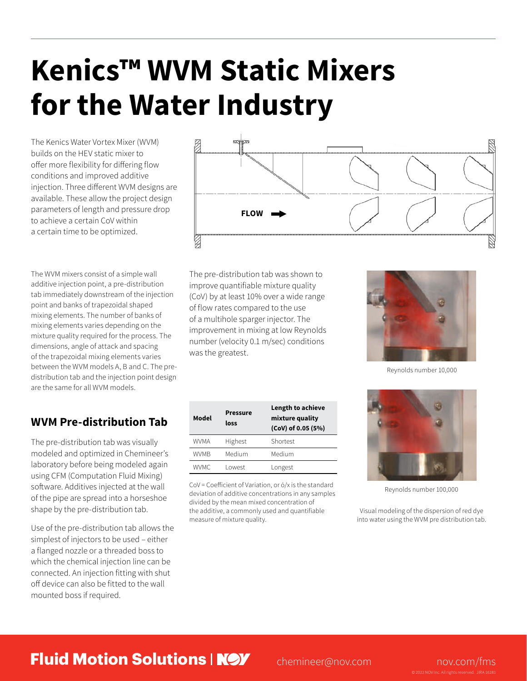# **Kenics™ WVM Static Mixers for the Water Industry**

The Kenics Water Vortex Mixer (WVM) builds on the HEV static mixer to offer more flexibility for differing flow conditions and improved additive injection. Three different WVM designs are available. These allow the project design parameters of length and pressure drop to achieve a certain CoV within a certain time to be optimized.

The WVM mixers consist of a simple wall additive injection point, a pre-distribution tab immediately downstream of the injection point and banks of trapezoidal shaped mixing elements. The number of banks of mixing elements varies depending on the mixture quality required for the process. The dimensions, angle of attack and spacing of the trapezoidal mixing elements varies between the WVM models A, B and C. The predistribution tab and the injection point design are the same for all WVM models.

## **WVM Pre-distribution Tab**

The pre-distribution tab was visually modeled and optimized in Chemineer's laboratory before being modeled again using CFM (Computation Fluid Mixing) software. Additives injected at the wall of the pipe are spread into a horseshoe shape by the pre-distribution tab.

Use of the pre-distribution tab allows the simplest of injectors to be used – either a flanged nozzle or a threaded boss to which the chemical injection line can be connected. An injection fitting with shut off device can also be fitted to the wall mounted boss if required.



The pre-distribution tab was shown to improve quantifiable mixture quality (CoV) by at least 10% over a wide range of flow rates compared to the use of a multihole sparger injector. The improvement in mixing at low Reynolds number (velocity 0.1 m/sec) conditions was the greatest.

Reynolds number 10,000

| Model | <b>Pressure</b><br>loss | Length to achieve<br>mixture quality<br>(CoV) of 0.05 (5%) |
|-------|-------------------------|------------------------------------------------------------|
| WVMA  | Highest                 | Shortest                                                   |
| WVMB  | Medium                  | Medium                                                     |
| WVMC. | I owest                 | Longest                                                    |

CoV = Coefficient of Variation, or ó/x is the standard deviation of additive concentrations in any samples divided by the mean mixed concentration of the additive, a commonly used and quantifiable measure of mixture quality.



Reynolds number 100,000

Visual modeling of the dispersion of red dye into water using the WVM pre distribution tab.

## **Fluid Motion Solutions | NOV** chemineer@nov.com nov.com/fms